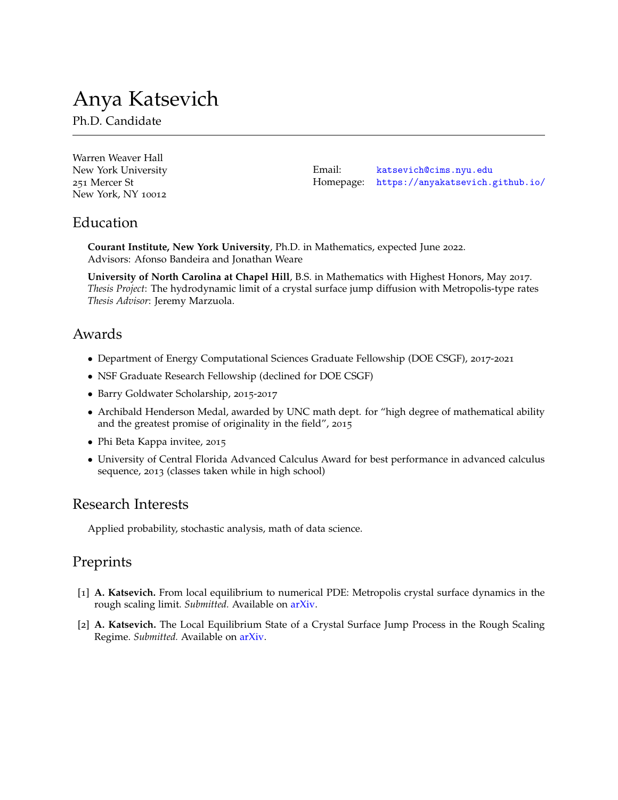# Anya Katsevich

Ph.D. Candidate

| Warren Weaver Hall  |        |                                            |
|---------------------|--------|--------------------------------------------|
| New York University | Email: | katsevich@cims.nyu.edu                     |
| 251 Mercer St       |        | Homepage: https://anyakatsevich.github.io/ |
| New York, NY 10012  |        |                                            |

### Education

**Courant Institute, New York University**, Ph.D. in Mathematics, expected June 2022. Advisors: Afonso Bandeira and Jonathan Weare

**University of North Carolina at Chapel Hill**, B.S. in Mathematics with Highest Honors, May 2017. *Thesis Project*: The hydrodynamic limit of a crystal surface jump diffusion with Metropolis-type rates *Thesis Advisor*: Jeremy Marzuola.

#### Awards

- Department of Energy Computational Sciences Graduate Fellowship (DOE CSGF), 2017-2021
- NSF Graduate Research Fellowship (declined for DOE CSGF)
- Barry Goldwater Scholarship, 2015-2017
- Archibald Henderson Medal, awarded by UNC math dept. for "high degree of mathematical ability and the greatest promise of originality in the field", 2015
- Phi Beta Kappa invitee, 2015
- University of Central Florida Advanced Calculus Award for best performance in advanced calculus sequence, 2013 (classes taken while in high school)

## Research Interests

Applied probability, stochastic analysis, math of data science.

## Preprints

- [1] **A. Katsevich.** From local equilibrium to numerical PDE: Metropolis crystal surface dynamics in the rough scaling limit. *Submitted.* Available on [arXiv.](https://arxiv.org/abs/2108.03527)
- [2] **A. Katsevich.** The Local Equilibrium State of a Crystal Surface Jump Process in the Rough Scaling Regime. *Submitted.* Available on [arXiv.](https://arxiv.org/abs/2106.04652)